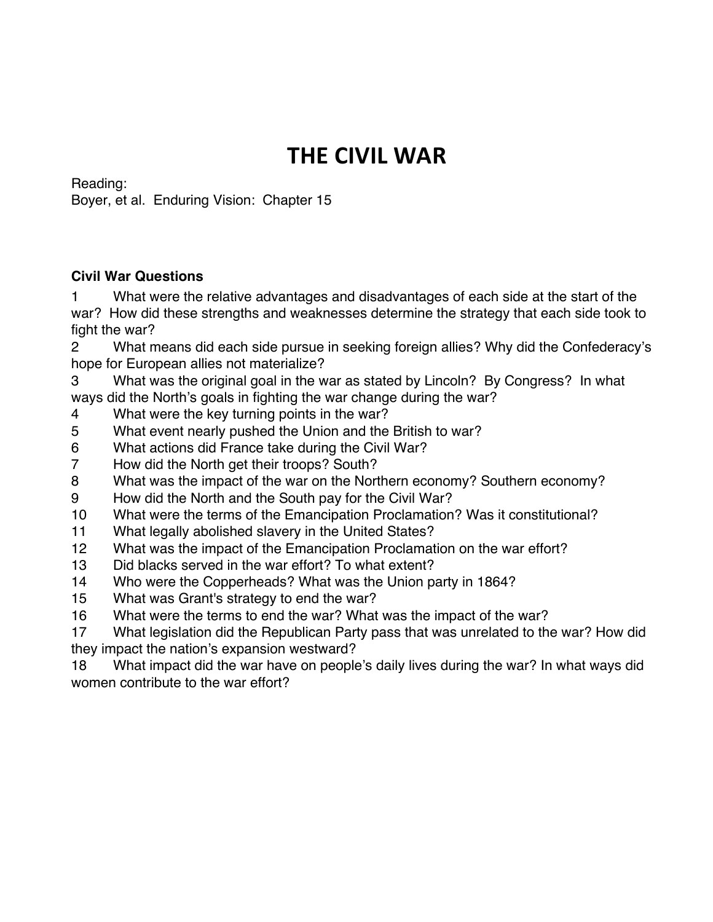## **THE CIVIL WAR**

Reading:

Boyer, et al. Enduring Vision: Chapter 15

## **Civil War Questions**

 What were the relative advantages and disadvantages of each side at the start of the war? How did these strengths and weaknesses determine the strategy that each side took to fight the war?

 What means did each side pursue in seeking foreign allies? Why did the Confederacy's hope for European allies not materialize?

 What was the original goal in the war as stated by Lincoln? By Congress? In what ways did the North's goals in fighting the war change during the war?

- What were the key turning points in the war?
- What event nearly pushed the Union and the British to war?
- What actions did France take during the Civil War?
- How did the North get their troops? South?
- What was the impact of the war on the Northern economy? Southern economy?
- How did the North and the South pay for the Civil War?
- What were the terms of the Emancipation Proclamation? Was it constitutional?
- What legally abolished slavery in the United States?
- What was the impact of the Emancipation Proclamation on the war effort?
- Did blacks served in the war effort? To what extent?
- Who were the Copperheads? What was the Union party in 1864?
- What was Grant's strategy to end the war?
- What were the terms to end the war? What was the impact of the war?
- What legislation did the Republican Party pass that was unrelated to the war? How did they impact the nation's expansion westward?

 What impact did the war have on people's daily lives during the war? In what ways did women contribute to the war effort?